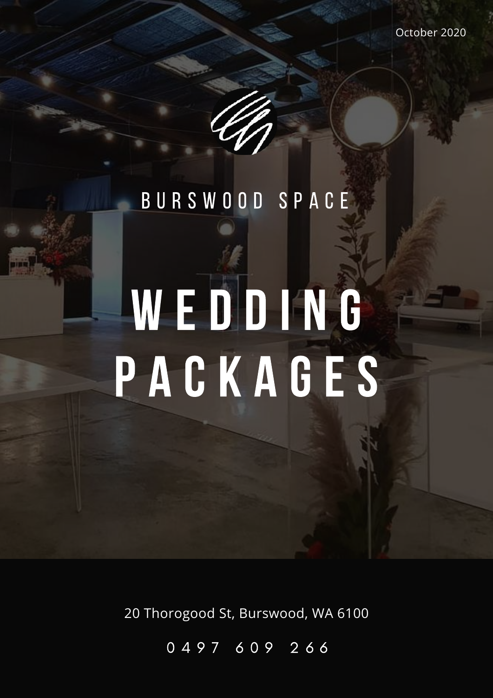

# WEDDING P A C K A G E S

20 Thorogood St, Burswood, WA 6100

0 4 9 7 6 0 9 2 6 6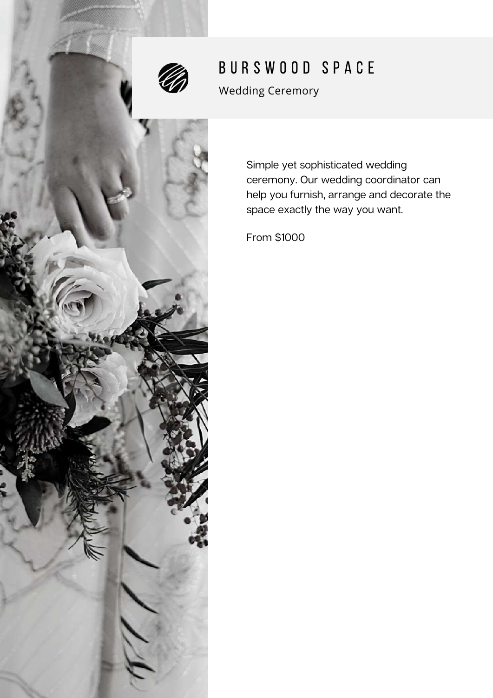

Wedding Ceremory

Simple yet sophisticated wedding ceremony. Our wedding coordinator can help you furnish, arrange and decorate the space exactly the way you want.

From \$1000

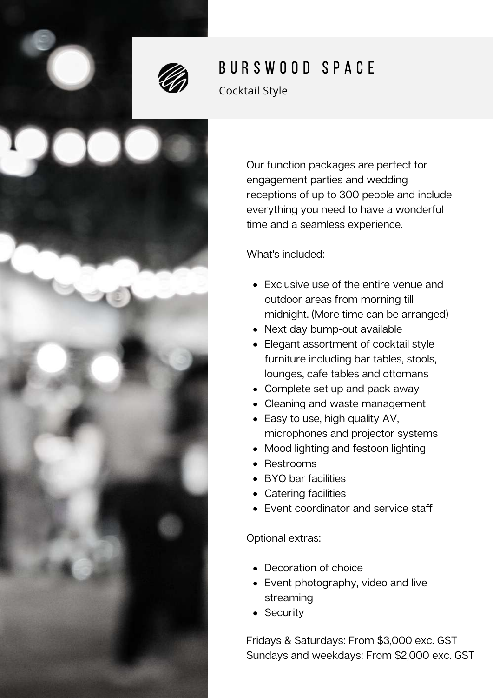

Cocktail Style



Our function packages are perfect for engagement parties and wedding receptions of up to 300 people and include everything you need to have a wonderful time and a seamless experience.

What's included:

- Exclusive use of the entire venue and outdoor areas from morning till midnight. (More time can be arranged)
- Next day bump-out available
- Elegant assortment of cocktail style furniture including bar tables, stools, lounges, cafe tables and ottomans
- Complete set up and pack away
- Cleaning and waste management
- Easy to use, high quality AV, microphones and projector systems
- Mood lighting and festoon lighting
- Restrooms
- BYO bar facilities
- Catering facilities
- Event coordinator and service staff

Optional extras:

- Decoration of choice
- Event photography, video and live streaming
- Security

Fridays & Saturdays: From \$3,000 exc. GST Sundays and weekdays: From \$2,000 exc. GST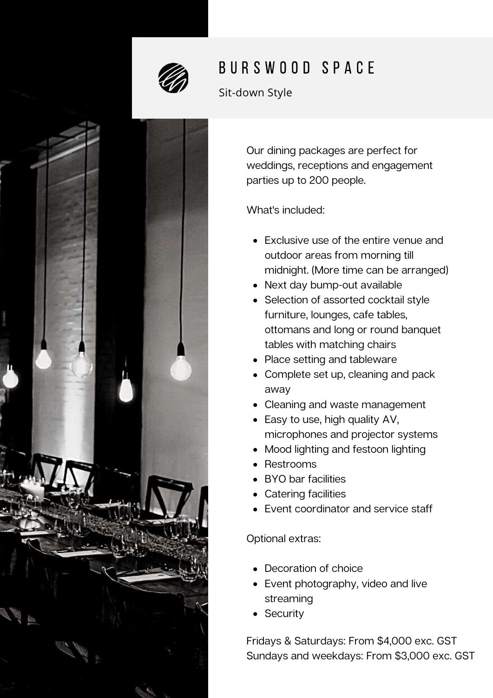

Sit-down Style



Our dining packages are perfect for weddings, receptions and engagement parties up to 200 people.

What's included:

- Exclusive use of the entire venue and outdoor areas from morning till midnight. (More time can be arranged)
- Next day bump-out available
- Selection of assorted cocktail style furniture, lounges, cafe tables, ottomans and long or round banquet tables with matching chairs
- Place setting and tableware
- Complete set up, cleaning and pack away
- Cleaning and waste management
- Easy to use, high quality AV, microphones and projector systems
- Mood lighting and festoon lighting
- Restrooms
- BYO bar facilities
- Catering facilities
- Event coordinator and service staff

Optional extras:

- Decoration of choice
- Event photography, video and live streaming
- Security

Fridays & Saturdays: From \$4,000 exc. GST Sundays and weekdays: From \$3,000 exc. GST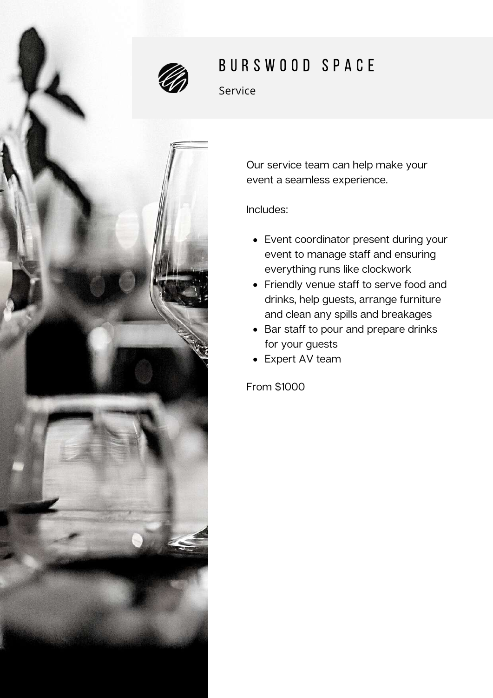

Service



Our service team can help make your event a seamless experience.

Includes:

- Event coordinator present during your event to manage staff and ensuring everything runs like clockwork
- Friendly venue staff to serve food and drinks, help guests, arrange furniture and clean any spills and breakages
- Bar staff to pour and prepare drinks for your guests
- Expert AV team

From \$1000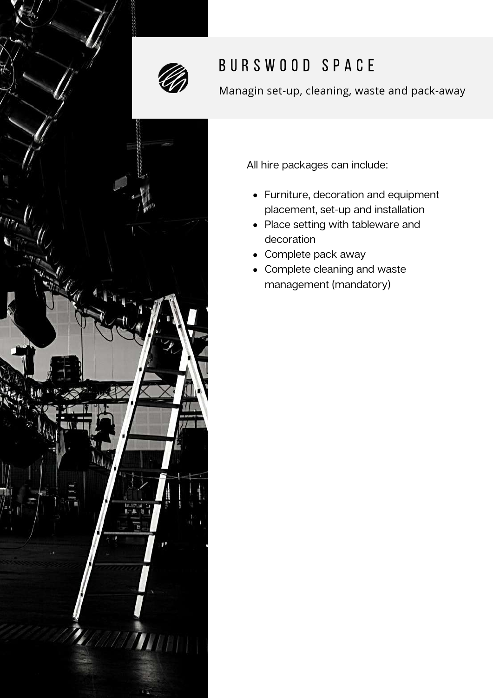

Managin set-up, cleaning, waste and pack-away

All hire packages can include:

- Furniture, decoration and equipment placement, set-up and installation
- Place setting with tableware and decoration
- Complete pack away
- Complete cleaning and waste management (mandatory)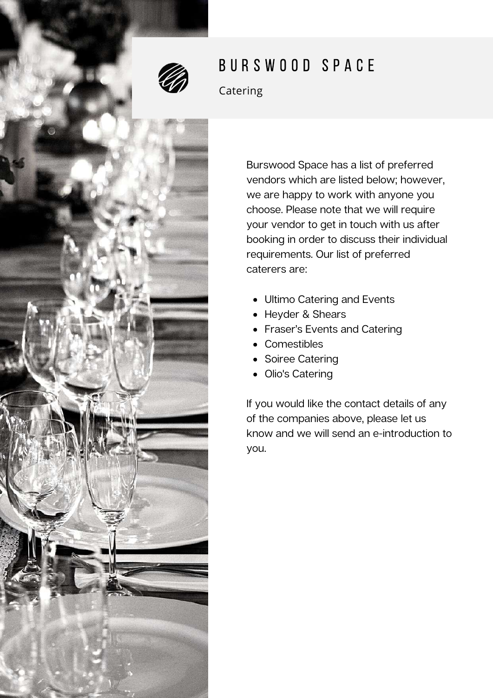

Catering

Burswood Space has a list of preferred vendors which are listed below; however, we are happy to work with anyone you choose. Please note that we will require your vendor to get in touch with us after booking in order to discuss their individual requirements. Our list of preferred caterers are:

- Ultimo Catering and Events
- Heyder & Shears
- Fraser's Events and Catering
- Comestibles
- Soiree Catering
- Olio's Catering

If you would like the contact details of any of the companies above, please let us know and we will send an e-introduction to you.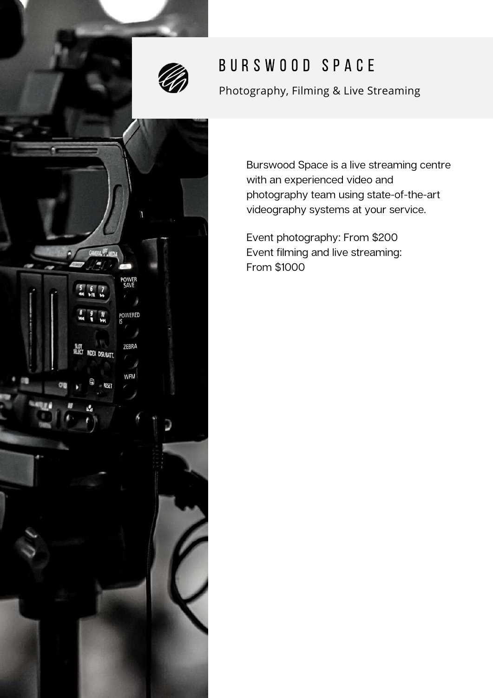

Photography, Filming & Live Streaming

Burswood Space is a live streaming centre with an experienced video and photography team using state-of-the-art videography systems at your service.

Event photography: From \$200 Event filming and live streaming: From \$1000